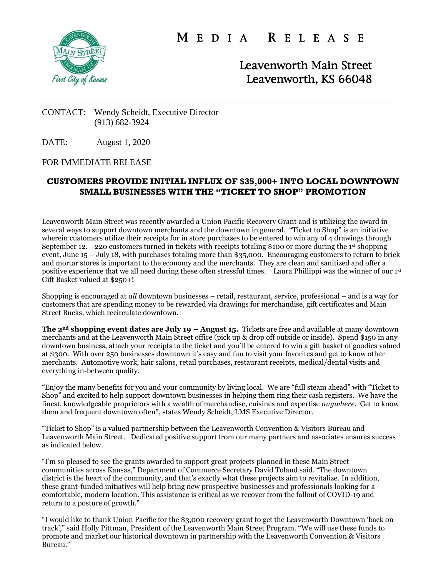

M E D I A R E L E A S E

Leavenworth Main Street Leavenworth, KS 66048

## CONTACT: Wendy Scheidt, Executive Director (913) 682-3924

DATE: August 1, 2020

## FOR IMMEDIATE RELEASE

## **CUSTOMERS PROVIDE INITIAL INFLUX OF \$35,000+ INTO LOCAL DOWNTOWN SMALL BUSINESSES WITH THE "TICKET TO SHOP" PROMOTION**

Leavenworth Main Street was recently awarded a Union Pacific Recovery Grant and is utilizing the award in several ways to support downtown merchants and the downtown in general. "Ticket to Shop" is an initiative wherein customers utilize their receipts for in store purchases to be entered to win any of 4 drawings through September 12. 220 customers turned in tickets with receipts totaling \$100 or more during the 1<sup>st</sup> shopping event, June 15 – July 18, with purchases totaling more than \$35,000. Encouraging customers to return to brick and mortar stores is important to the economy and the merchants. They are clean and sanitized and offer a positive experience that we all need during these often stressful times. Laura Phillippi was the winner of our 1st Gift Basket valued at \$250+!

Shopping is encouraged at *all* downtown businesses – retail, restaurant, service, professional – and is a way for customers that are spending money to be rewarded via drawings for merchandise, gift certificates and Main Street Bucks, which recirculate downtown.

**The 2nd shopping event dates are July 19 – August 15.** Tickets are free and available at many downtown merchants and at the Leavenworth Main Street office (pick up & drop off outside or inside). Spend \$150 in any downtown business, attach your receipts to the ticket and you'll be entered to win a gift basket of goodies valued at \$300. With over 250 businesses downtown it's easy and fun to visit your favorites and get to know other merchants. Automotive work, hair salons, retail purchases, restaurant receipts, medical/dental visits and everything in-between qualify.

"Enjoy the many benefits for you and your community by living local. We are "full steam ahead" with "Ticket to Shop" and excited to help support downtown businesses in helping them ring their cash registers. We have the finest, knowledgeable proprietors with a wealth of merchandise, cuisines and expertise *anywhere*. Get to know them and frequent downtown often", states Wendy Scheidt, LMS Executive Director.

"Ticket to Shop" is a valued partnership between the Leavenworth Convention & Visitors Bureau and Leavenworth Main Street. Dedicated positive support from our many partners and associates ensures success as indicated below.

"I'm so pleased to see the grants awarded to support great projects planned in these Main Street communities across Kansas," Department of Commerce Secretary David Toland said. "The downtown district is the heart of the community, and that's exactly what these projects aim to revitalize. In addition, these grant-funded initiatives will help bring new prospective businesses and professionals looking for a comfortable, modern location. This assistance is critical as we recover from the fallout of COVID-19 and return to a posture of growth."

"I would like to thank Union Pacific for the \$3,000 recovery grant to get the Leavenworth Downtown 'back on track'," said Holly Pittman, President of the Leavenworth Main Street Program. "We will use these funds to promote and market our historical downtown in partnership with the Leavenworth Convention & Visitors Bureau."